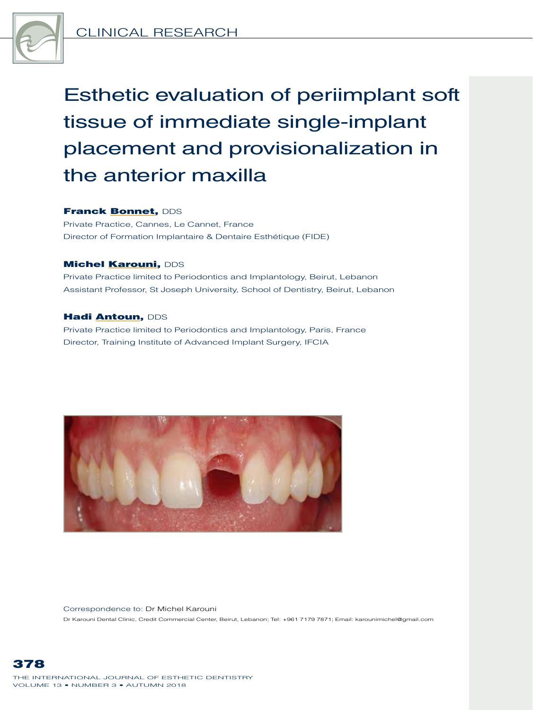

Esthetic evaluation of periimplant soft tissue of immediate single-implant placement and provisionalization in the anterior maxilla

#### Franck **Bonnet, DDS**

Private Practice, Cannes, Le Cannet, France Director of Formation Implantaire & Dentaire Esthétique (FIDE)

### **Michel Karouni, DDS**

Private Practice limited to Periodontics and Implantology, Beirut, Lebanon Assistant Professor, St Joseph University, School of Dentistry, Beirut, Lebanon

#### Hadi Antoun, DDS

Private Practice limited to Periodontics and Implantology, Paris, France Director, Training Institute of Advanced Implant Surgery, IFCIA



Correspondence to: Dr Michel Karouni Dr Karouni Dental Clinic, Credit Commercial Center, Beirut, Lebanon; Tel: +961 7179 7871; Email: karounimichel@gmail.com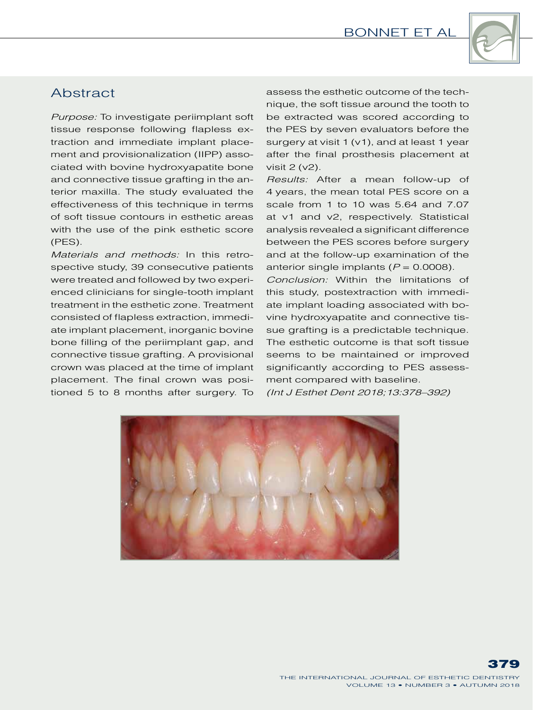

# **Abstract**

*Purpose:* To investigate periimplant soft tissue response following flapless extraction and immediate implant placement and provisionalization (IIPP) associated with bovine hydroxyapatite bone and connective tissue grafting in the anterior maxilla. The study evaluated the effectiveness of this technique in terms of soft tissue contours in esthetic areas with the use of the pink esthetic score (PES).

*Materials and methods:* In this retrospective study, 39 consecutive patients were treated and followed by two experienced clinicians for single-tooth implant treatment in the esthetic zone. Treatment consisted of flapless extraction, immediate implant placement, inorganic bovine bone filling of the periimplant gap, and connective tissue grafting. A provisional crown was placed at the time of implant placement. The final crown was positioned 5 to 8 months after surgery. To

assess the esthetic outcome of the technique, the soft tissue around the tooth to be extracted was scored according to the PES by seven evaluators before the surgery at visit 1 (v1), and at least 1 year after the final prosthesis placement at visit 2 (v2).

*Results:* After a mean follow-up of 4 years, the mean total PES score on a scale from 1 to 10 was 5.64 and 7.07 at v1 and v2, respectively. Statistical analysis revealed a significant difference between the PES scores before surgery and at the follow-up examination of the anterior single implants  $(P = 0.0008)$ .

*Conclusion:* Within the limitations of this study, postextraction with immediate implant loading associated with bovine hydroxyapatite and connective tissue grafting is a predictable technique. The esthetic outcome is that soft tissue seems to be maintained or improved significantly according to PES assessment compared with baseline. *(Int J Esthet Dent 2018;13:378–392)*

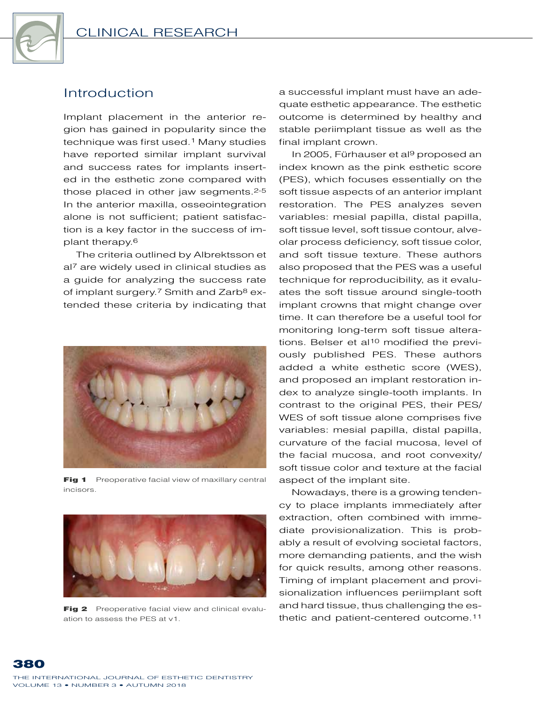

## Introduction

Implant placement in the anterior region has gained in popularity since the technique was first used.<sup>1</sup> Many studies have reported similar implant survival and success rates for implants inserted in the esthetic zone compared with those placed in other jaw segments.<sup>2-5</sup> In the anterior maxilla, osseointegration alone is not sufficient; patient satisfaction is a key factor in the success of implant therapy.6

The criteria outlined by Albrektsson et al<sup>7</sup> are widely used in clinical studies as a guide for analyzing the success rate of implant surgery.<sup>7</sup> Smith and Zarb<sup>8</sup> extended these criteria by indicating that



Fig 1 Preoperative facial view of maxillary central incisors.



Fig 2 Preoperative facial view and clinical evaluation to assess the PES at v1.

a successful implant must have an adequate esthetic appearance. The esthetic outcome is determined by healthy and stable periimplant tissue as well as the final implant crown.

In 2005, Fürhauser et al9 proposed an index known as the pink esthetic score (PES), which focuses essentially on the soft tissue aspects of an anterior implant restoration. The PES analyzes seven variables: mesial papilla, distal papilla, soft tissue level, soft tissue contour, alveolar process deficiency, soft tissue color, and soft tissue texture. These authors also proposed that the PES was a useful technique for reproducibility, as it evaluates the soft tissue around single-tooth implant crowns that might change over time. It can therefore be a useful tool for monitoring long-term soft tissue alterations. Belser et al<sup>10</sup> modified the previously published PES. These authors added a white esthetic score (WES), and proposed an implant restoration index to analyze single-tooth implants. In contrast to the original PES, their PES/ WES of soft tissue alone comprises five variables: mesial papilla, distal papilla, curvature of the facial mucosa, level of the facial mucosa, and root convexity/ soft tissue color and texture at the facial aspect of the implant site.

Nowadays, there is a growing tendency to place implants immediately after extraction, often combined with immediate provisionalization. This is probably a result of evolving societal factors, more demanding patients, and the wish for quick results, among other reasons. Timing of implant placement and provisionalization influences periimplant soft and hard tissue, thus challenging the esthetic and patient-centered outcome.11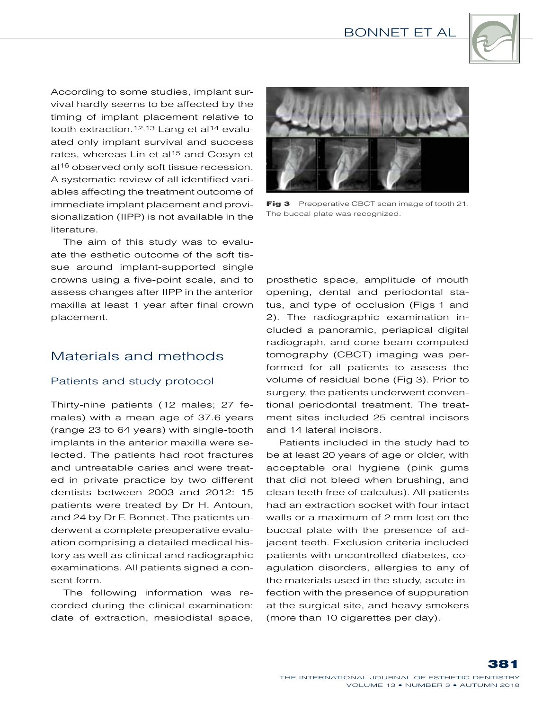

According to some studies, implant survival hardly seems to be affected by the timing of implant placement relative to tooth extraction.<sup>12,13</sup> Lang et al<sup>14</sup> evaluated only implant survival and success rates, whereas Lin et al<sup>15</sup> and Cosyn et al<sup>16</sup> observed only soft tissue recession. A systematic review of all identified variables affecting the treatment outcome of immediate implant placement and provisionalization (IIPP) is not available in the literature.

The aim of this study was to evaluate the esthetic outcome of the soft tissue around implant-supported single crowns using a five-point scale, and to assess changes after IIPP in the anterior maxilla at least 1 year after final crown placement.

# Materials and methods

### Patients and study protocol

Thirty-nine patients (12 males; 27 females) with a mean age of 37.6 years (range 23 to 64 years) with single-tooth implants in the anterior maxilla were selected. The patients had root fractures and untreatable caries and were treated in private practice by two different dentists between 2003 and 2012: 15 patients were treated by Dr H. Antoun, and 24 by Dr F. Bonnet. The patients underwent a complete preoperative evaluation comprising a detailed medical history as well as clinical and radiographic examinations. All patients signed a consent form.

The following information was recorded during the clinical examination: date of extraction, mesiodistal space,



Fig 3 Preoperative CBCT scan image of tooth 21. The buccal plate was recognized.

prosthetic space, amplitude of mouth opening, dental and periodontal status, and type of occlusion (Figs 1 and 2). The radiographic examination included a panoramic, periapical digital radiograph, and cone beam computed tomography (CBCT) imaging was performed for all patients to assess the volume of residual bone (Fig 3). Prior to surgery, the patients underwent conventional periodontal treatment. The treatment sites included 25 central incisors and 14 lateral incisors.

Patients included in the study had to be at least 20 years of age or older, with acceptable oral hygiene (pink gums that did not bleed when brushing, and clean teeth free of calculus). All patients had an extraction socket with four intact walls or a maximum of 2 mm lost on the buccal plate with the presence of adjacent teeth. Exclusion criteria included patients with uncontrolled diabetes, coagulation disorders, allergies to any of the materials used in the study, acute infection with the presence of suppuration at the surgical site, and heavy smokers (more than 10 cigarettes per day).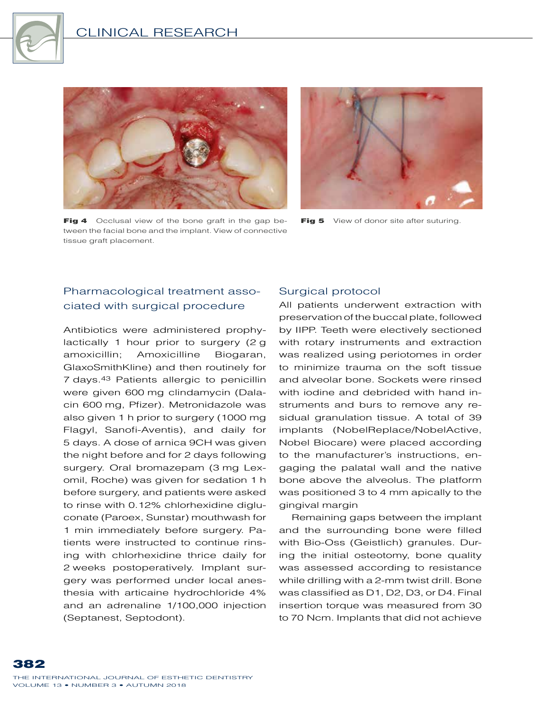

## Clinical Research



Fig 4 Occlusal view of the bone graft in the gap between the facial bone and the implant. View of connective tissue graft placement.



Fig 5 View of donor site after suturing.

## Pharmacological treatment associated with surgical procedure

Antibiotics were administered prophylactically 1 hour prior to surgery (2 g amoxicillin; Amoxicilline Biogaran, GlaxoSmithKline) and then routinely for 7  days.43 Patients allergic to penicillin were given 600 mg clindamycin (Dalacin 600 mg, Pfizer). Metronidazole was also given 1 h prior to surgery (1000 mg Flagyl, Sanofi-Aventis), and daily for 5  days. A dose of arnica 9CH was given the night before and for 2 days following surgery. Oral bromazepam (3 mg Lexomil, Roche) was given for sedation 1 h before surgery, and patients were asked to rinse with 0.12% chlorhexidine digluconate (Paroex, Sunstar) mouthwash for 1 min immediately before surgery. Patients were instructed to continue rinsing with chlorhexidine thrice daily for 2  weeks postoperatively. Implant surgery was performed under local anesthesia with articaine hydrochloride 4% and an adrenaline 1/100,000 injection (Septanest, Septodont).

### Surgical protocol

All patients underwent extraction with preservation of the buccal plate, followed by IIPP. Teeth were electively sectioned with rotary instruments and extraction was realized using periotomes in order to minimize trauma on the soft tissue and alveolar bone. Sockets were rinsed with iodine and debrided with hand instruments and burs to remove any residual granulation tissue. A total of 39 implants (NobelReplace/NobelActive, Nobel Biocare) were placed according to the manufacturer's instructions, engaging the palatal wall and the native bone above the alveolus. The platform was positioned 3 to 4 mm apically to the gingival margin

Remaining gaps between the implant and the surrounding bone were filled with Bio-Oss (Geistlich) granules. During the initial osteotomy, bone quality was assessed according to resistance while drilling with a 2-mm twist drill. Bone was classified as D1, D2, D3, or D4. Final insertion torque was measured from 30 to 70 Ncm. Implants that did not achieve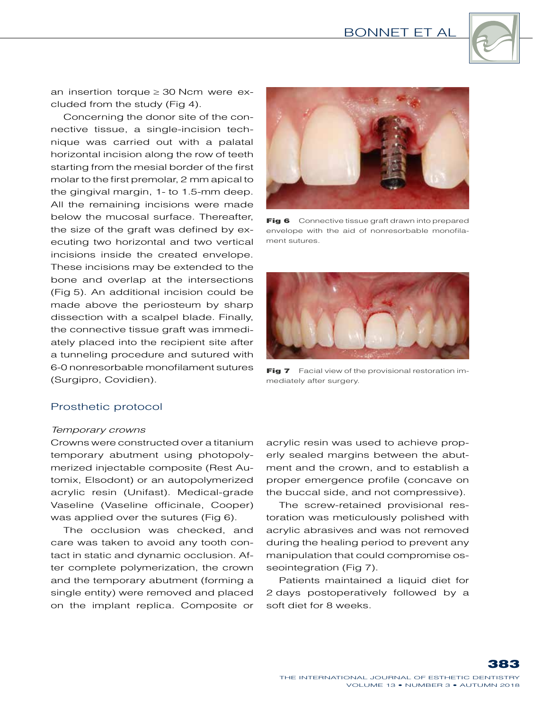

an insertion torque  $\geq$  30 Ncm were excluded from the study (Fig 4).

Concerning the donor site of the connective tissue, a single-incision technique was carried out with a palatal horizontal incision along the row of teeth starting from the mesial border of the first molar to the first premolar, 2 mm apical to the gingival margin, 1- to 1.5-mm deep. All the remaining incisions were made below the mucosal surface. Thereafter, the size of the graft was defined by executing two horizontal and two vertical incisions inside the created envelope. These incisions may be extended to the bone and overlap at the intersections (Fig 5). An additional incision could be made above the periosteum by sharp dissection with a scalpel blade. Finally, the connective tissue graft was immediately placed into the recipient site after a tunneling procedure and sutured with 6-0 nonresorbable monofilament sutures (Surgipro, Covidien).



Fig 6 Connective tissue graft drawn into prepared envelope with the aid of nonresorbable monofilament sutures.



Fig 7 Facial view of the provisional restoration immediately after surgery.

#### Prosthetic protocol

#### *Temporary crowns*

Crowns were constructed over a titanium temporary abutment using photopolymerized injectable composite (Rest Automix, Elsodont) or an autopolymerized acrylic resin (Unifast). Medical-grade Vaseline (Vaseline officinale, Cooper) was applied over the sutures (Fig 6).

The occlusion was checked, and care was taken to avoid any tooth contact in static and dynamic occlusion. After complete polymerization, the crown and the temporary abutment (forming a single entity) were removed and placed on the implant replica. Composite or

acrylic resin was used to achieve properly sealed margins between the abutment and the crown, and to establish a proper emergence profile (concave on the buccal side, and not compressive).

The screw-retained provisional restoration was meticulously polished with acrylic abrasives and was not removed during the healing period to prevent any manipulation that could compromise osseointegration (Fig 7).

Patients maintained a liquid diet for 2  days postoperatively followed by a soft diet for 8 weeks.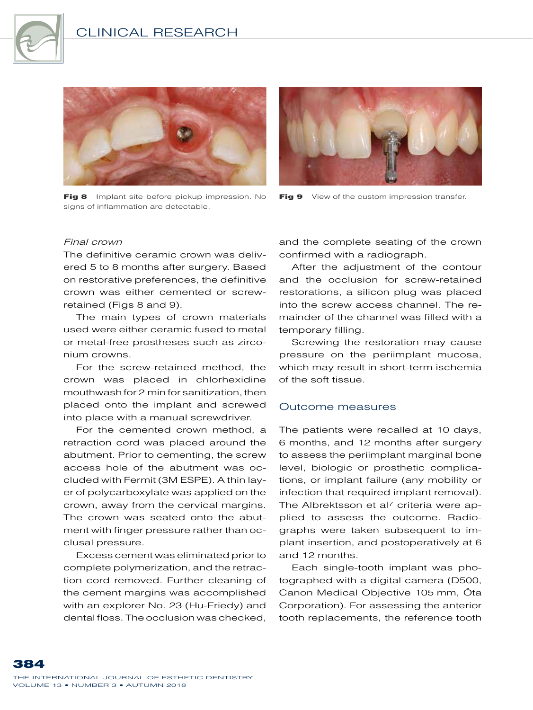

### Clinical Research



Fig 8 Implant site before pickup impression. No signs of inflammation are detectable.



Fig 9 View of the custom impression transfer.

#### *Final crown*

The definitive ceramic crown was delivered 5 to 8 months after surgery. Based on restorative preferences, the definitive crown was either cemented or screwretained (Figs 8 and 9).

The main types of crown materials used were either ceramic fused to metal or metal-free prostheses such as zirconium crowns.

For the screw-retained method, the crown was placed in chlorhexidine mouthwash for 2 min for sanitization, then placed onto the implant and screwed into place with a manual screwdriver.

For the cemented crown method, a retraction cord was placed around the abutment. Prior to cementing, the screw access hole of the abutment was occluded with Fermit (3M ESPE). A thin layer of polycarboxylate was applied on the crown, away from the cervical margins. The crown was seated onto the abutment with finger pressure rather than occlusal pressure.

Excess cement was eliminated prior to complete polymerization, and the retraction cord removed. Further cleaning of the cement margins was accomplished with an explorer No. 23 (Hu-Friedy) and dental floss. The occlusion was checked,

and the complete seating of the crown confirmed with a radiograph.

After the adjustment of the contour and the occlusion for screw-retained restorations, a silicon plug was placed into the screw access channel. The remainder of the channel was filled with a temporary filling.

Screwing the restoration may cause pressure on the periimplant mucosa, which may result in short-term ischemia of the soft tissue.

#### Outcome measures

The patients were recalled at 10 days, 6 months, and 12 months after surgery to assess the periimplant marginal bone level, biologic or prosthetic complications, or implant failure (any mobility or infection that required implant removal). The Albrektsson et al<sup>7</sup> criteria were applied to assess the outcome. Radiographs were taken subsequent to implant insertion, and postoperatively at 6 and 12 months.

Each single-tooth implant was photographed with a digital camera (D500, Canon Medical Objective 105 mm, Ôta Corporation). For assessing the anterior tooth replacements, the reference tooth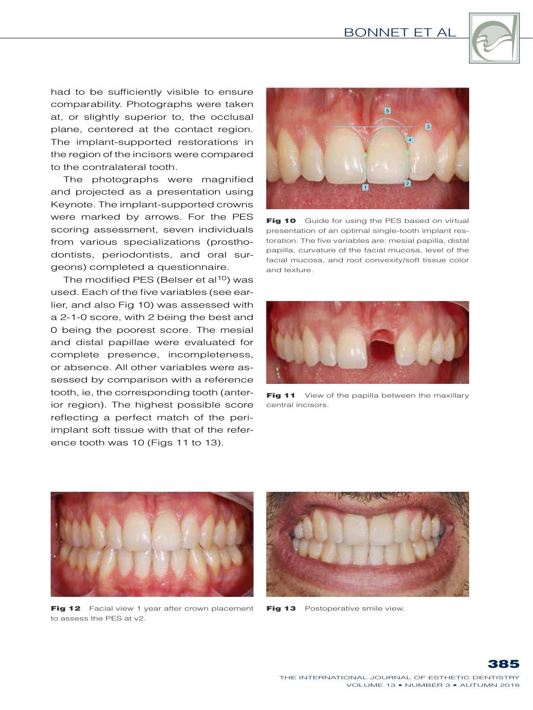Bonnet et al



had to be sufficiently visible to ensure comparability. Photographs were taken at, or slightly superior to, the occlusal plane, centered at the contact region. The implant-supported restorations in the region of the incisors were compared to the contralateral tooth.

The photographs were magnified and projected as a presentation using Keynote. The implant-supported crowns were marked by arrows. For the PES scoring assessment, seven individuals from various specializations (prosthodontists, periodontists, and oral surgeons) completed a questionnaire.

The modified PES (Belser et al<sup>10</sup>) was used. Each of the five variables (see earlier, and also Fig 10) was assessed with a 2-1-0 score, with 2 being the best and 0 being the poorest score. The mesial and distal papillae were evaluated for complete presence, incompleteness, or absence. All other variables were assessed by comparison with a reference tooth, ie, the corresponding tooth (anterior region). The highest possible score reflecting a perfect match of the periimplant soft tissue with that of the reference tooth was 10 (Figs 11 to 13).



Fig 10 Guide for using the PES based on virtual presentation of an optimal single-tooth implant restoration. The five variables are: mesial papilla, distal papilla, curvature of the facial mucosa, level of the facial mucosa, and root convexity/soft tissue color and texture.



Fig 11 View of the papilla between the maxillary central incisors.



Fig 12 Facial view 1 year after crown placement to assess the PES at v2.



Fig 13 Postoperative smile view.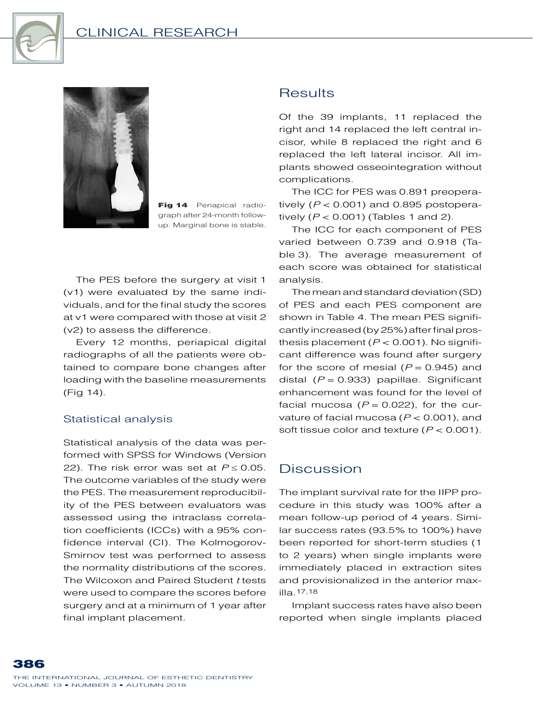

## Clinical Research



Fig 14 Periapical radiograph after 24-month followup. Marginal bone is stable.

The PES before the surgery at visit  1 (v1) were evaluated by the same individuals, and for the final study the scores at v1 were compared with those at visit 2 (v2) to assess the difference.

Every 12 months, periapical digital radiographs of all the patients were obtained to compare bone changes after loading with the baseline measurements (Fig 14).

### Statistical analysis

Statistical analysis of the data was performed with SPSS for Windows (Version 22). The risk error was set at  $P \le 0.05$ . The outcome variables of the study were the PES. The measurement reproducibility of the PES between evaluators was assessed using the intraclass correlation coefficients (ICCs) with a 95% confidence interval (CI). The Kolmogorov-Smirnov test was performed to assess the normality distributions of the scores. The Wilcoxon and Paired Student *t* tests were used to compare the scores before surgery and at a minimum of 1 year after final implant placement.

## **Results**

Of the 39 implants, 11 replaced the right and 14 replaced the left central incisor, while 8 replaced the right and 6 replaced the left lateral incisor. All implants showed osseointegration without complications.

The ICC for PES was 0.891 preoperatively  $(P < 0.001)$  and 0.895 postoperatively (*P* < 0.001) (Tables 1 and 2).

The ICC for each component of PES varied between 0.739 and 0.918 (Table 3). The average measurement of each score was obtained for statistical analysis.

The mean and standard deviation (SD) of PES and each PES component are shown in Table 4. The mean PES significantly increased (by 25%) after final prosthesis placement  $(P < 0.001)$ . No significant difference was found after surgery for the score of mesial  $(P = 0.945)$  and distal (*P* = 0.933) papillae. Significant enhancement was found for the level of facial mucosa  $(P = 0.022)$ , for the curvature of facial mucosa (*P* < 0.001), and soft tissue color and texture (*P* < 0.001).

## Discussion

The implant survival rate for the IIPP procedure in this study was 100% after a mean follow-up period of 4 years. Similar success rates (93.5% to 100%) have been reported for short-term studies (1 to 2 years) when single implants were immediately placed in extraction sites and provisionalized in the anterior maxilla.17,18

Implant success rates have also been reported when single implants placed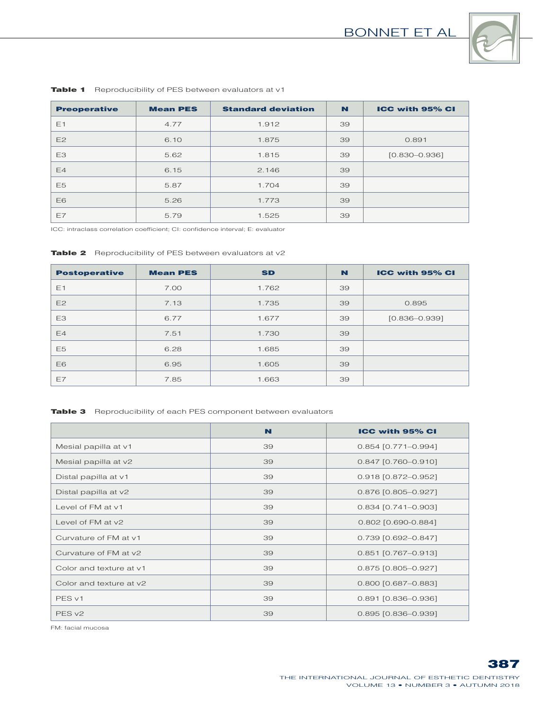

| <b>Preoperative</b> | <b>Mean PES</b> | <b>Standard deviation</b> | N  | <b>ICC with 95% CI</b> |
|---------------------|-----------------|---------------------------|----|------------------------|
| E1                  | 4.77            | 1.912                     | 39 |                        |
| E2                  | 6.10            | 1.875                     | 39 | 0.891                  |
| E <sub>3</sub>      | 5.62            | 1.815                     | 39 | $[0.830 - 0.936]$      |
| E4                  | 6.15            | 2.146                     | 39 |                        |
| E <sub>5</sub>      | 5.87            | 1.704                     | 39 |                        |
| E6                  | 5.26            | 1.773                     | 39 |                        |
| E7                  | 5.79            | 1.525                     | 39 |                        |

Table 1 Reproducibility of PES between evaluators at v1

ICC: intraclass correlation coefficient; CI: confidence interval; E: evaluator

| <b>Table 2</b> Reproducibility of PES between evaluators at v2 |
|----------------------------------------------------------------|
|                                                                |

| <b>Postoperative</b> | <b>Mean PES</b> | <b>SD</b> | N  | <b>ICC with 95% CI</b> |
|----------------------|-----------------|-----------|----|------------------------|
| E1                   | 7.00            | 1.762     | 39 |                        |
| E2                   | 7.13            | 1.735     | 39 | 0.895                  |
| E <sub>3</sub>       | 6.77            | 1.677     | 39 | $[0.836 - 0.939]$      |
| E4                   | 7.51            | 1.730     | 39 |                        |
| E <sub>5</sub>       | 6.28            | 1.685     | 39 |                        |
| E6                   | 6.95            | 1.605     | 39 |                        |
| E7                   | 7.85            | 1.663     | 39 |                        |

Table 3 Reproducibility of each PES component between evaluators

|                         | N  | <b>ICC with 95% CI</b> |
|-------------------------|----|------------------------|
| Mesial papilla at v1    | 39 | $0.854$ [0.771-0.994]  |
| Mesial papilla at v2    | 39 | $0.847$ [0.760-0.910]  |
| Distal papilla at v1    | 39 | 0.918 [0.872-0.952]    |
| Distal papilla at v2    | 39 | 0.876 [0.805-0.927]    |
| Level of FM at v1       | 39 | $0.834$ [0.741-0.903]  |
| Level of FM at y2       | 39 | 0.802 [0.690-0.884]    |
| Curvature of FM at v1   | 39 | 0.739 [0.692-0.847]    |
| Curvature of FM at y2   | 39 | $0.851$ [0.767-0.913]  |
| Color and texture at v1 | 39 | 0.875 [0.805-0.927]    |
| Color and texture at y2 | 39 | 0.800 [0.687-0.883]    |
| PES <sub>v1</sub>       | 39 | $0.891$ [0.836-0.936]  |
| PES <sub>v2</sub>       | 39 | $0.895$ [0.836-0.939]  |

FM: facial mucosa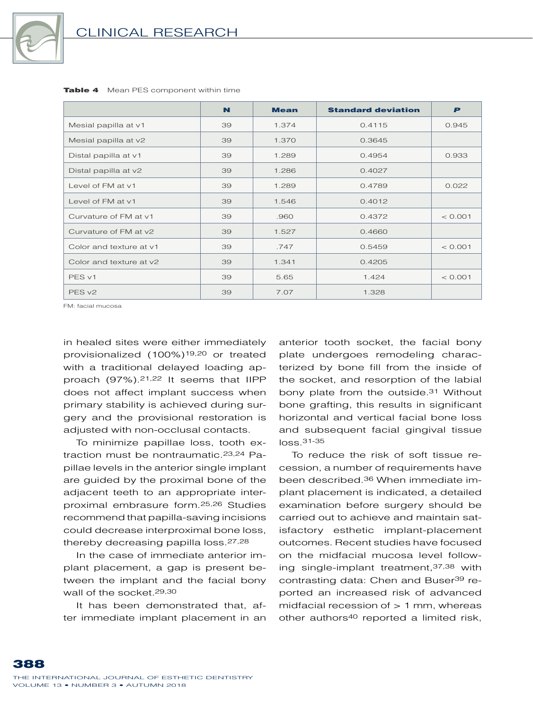

|                         | N  | <b>Mean</b> | <b>Standard deviation</b> | P       |
|-------------------------|----|-------------|---------------------------|---------|
| Mesial papilla at v1    | 39 | 1.374       | 0.4115                    | 0.945   |
| Mesial papilla at v2    | 39 | 1.370       | 0.3645                    |         |
| Distal papilla at v1    | 39 | 1.289       | 0.4954                    | 0.933   |
| Distal papilla at v2    | 39 | 1.286       | 0.4027                    |         |
| Level of FM at v1       | 39 | 1.289       | 0.4789                    | 0.022   |
| Level of FM at v1       | 39 | 1.546       | 0.4012                    |         |
| Curvature of FM at v1   | 39 | .960        | 0.4372                    | < 0.001 |
| Curvature of FM at y2   | 39 | 1.527       | 0.4660                    |         |
| Color and texture at v1 | 39 | .747        | 0.5459                    | < 0.001 |
| Color and texture at y2 | 39 | 1.341       | 0.4205                    |         |
| PES <sub>v1</sub>       | 39 | 5.65        | 1.424                     | < 0.001 |
| PES <sub>v2</sub>       | 39 | 7.07        | 1.328                     |         |

Table 4 Mean PES component within time

FM: facial mucosa

in healed sites were either immediately provisionalized (100%)19,20 or treated with a traditional delayed loading approach (97%).21,22 It seems that IIPP does not affect implant success when primary stability is achieved during surgery and the provisional restoration is adiusted with non-occlusal contacts.

To minimize papillae loss, tooth extraction must be nontraumatic.23,24 Papillae levels in the anterior single implant are guided by the proximal bone of the adjacent teeth to an appropriate interproximal embrasure form.25,26 Studies recommend that papilla-saving incisions could decrease interproximal bone loss, thereby decreasing papilla loss.27,28

In the case of immediate anterior implant placement, a gap is present between the implant and the facial bony wall of the socket.29,30

It has been demonstrated that, after immediate implant placement in an anterior tooth socket, the facial bony plate undergoes remodeling characterized by bone fill from the inside of the socket, and resorption of the labial bony plate from the outside.31 Without bone grafting, this results in significant horizontal and vertical facial bone loss and subsequent facial gingival tissue loss.31-35

To reduce the risk of soft tissue recession, a number of requirements have been described.36 When immediate implant placement is indicated, a detailed examination before surgery should be carried out to achieve and maintain satisfactory esthetic implant-placement outcomes. Recent studies have focused on the midfacial mucosa level following single-implant treatment,37,38 with contrasting data: Chen and Buser39 reported an increased risk of advanced midfacial recession of  $> 1$  mm, whereas other authors40 reported a limited risk,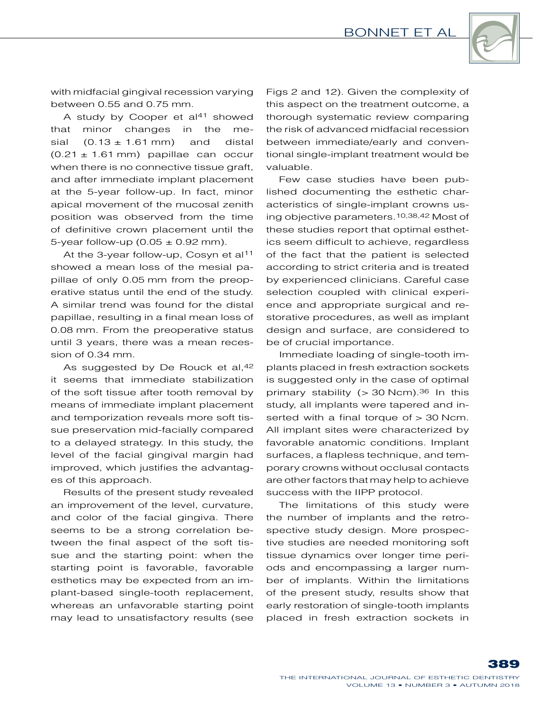

with midfacial gingival recession varying between 0.55 and 0.75 mm.

A study by Cooper et al<sup>41</sup> showed that minor changes in the mesial  $(0.13 \pm 1.61 \text{ mm})$  and distal  $(0.21 \pm 1.61 \text{ mm})$  papillae can occur when there is no connective tissue graft, and after immediate implant placement at the 5-year follow-up. In fact, minor apical movement of the mucosal zenith position was observed from the time of definitive crown placement until the 5-year follow-up (0.05  $\pm$  0.92 mm).

At the 3-year follow-up, Cosyn et al<sup>11</sup> showed a mean loss of the mesial papillae of only 0.05 mm from the preoperative status until the end of the study. A similar trend was found for the distal papillae, resulting in a final mean loss of 0.08 mm. From the preoperative status until 3 years, there was a mean recession of 0.34 mm.

As suggested by De Rouck et al, 42 it seems that immediate stabilization of the soft tissue after tooth removal by means of immediate implant placement and temporization reveals more soft tissue preservation mid-facially compared to a delayed strategy. In this study, the level of the facial gingival margin had improved, which justifies the advantages of this approach.

Results of the present study revealed an improvement of the level, curvature, and color of the facial gingiva. There seems to be a strong correlation between the final aspect of the soft tissue and the starting point: when the starting point is favorable, favorable esthetics may be expected from an implant-based single-tooth replacement, whereas an unfavorable starting point may lead to unsatisfactory results (see

Figs 2 and 12). Given the complexity of this aspect on the treatment outcome, a thorough systematic review comparing the risk of advanced midfacial recession between immediate/early and conventional single-implant treatment would be valuable.

Few case studies have been published documenting the esthetic characteristics of single-implant crowns using objective parameters.10,38,42 Most of these studies report that optimal esthetics seem difficult to achieve, regardless of the fact that the patient is selected according to strict criteria and is treated by experienced clinicians. Careful case selection coupled with clinical experience and appropriate surgical and restorative procedures, as well as implant design and surface, are considered to be of crucial importance.

Immediate loading of single-tooth implants placed in fresh extraction sockets is suggested only in the case of optimal primary stability ( $>$  30 Ncm).<sup>36</sup> In this study, all implants were tapered and inserted with a final torque of > 30 Ncm. All implant sites were characterized by favorable anatomic conditions. Implant surfaces, a flapless technique, and temporary crowns without occlusal contacts are other factors that may help to achieve success with the IIPP protocol.

The limitations of this study were the number of implants and the retrospective study design. More prospective studies are needed monitoring soft tissue dynamics over longer time periods and encompassing a larger number of implants. Within the limitations of the present study, results show that early restoration of single-tooth implants placed in fresh extraction sockets in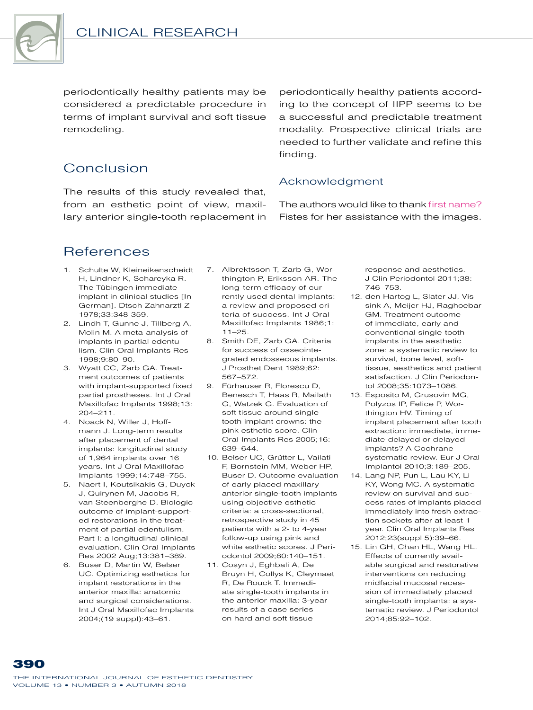

periodontically healthy patients may be considered a predictable procedure in terms of implant survival and soft tissue remodeling.

# Conclusion

The results of this study revealed that, from an esthetic point of view, maxillary anterior single-tooth replacement in periodontically healthy patients according to the concept of IIPP seems to be a successful and predictable treatment modality. Prospective clinical trials are needed to further validate and refine this finding.

### Acknowledgment

The authors would like to thank first name? Fistes for her assistance with the images.

# **References**

- 1. Schulte W, Kleineikenscheidt H, Lindner K, Schareyka R. The Tübingen immediate implant in clinical studies [In German]. Dtsch Zahnarztl Z 1978;33:348-359.
- 2. Lindh T, Gunne J, Tillberg A, Molin M. A meta-analysis of implants in partial edentulism. Clin Oral Implants Res 1998;9:80–90.
- 3. Wyatt CC, Zarb GA. Treatment outcomes of patients with implant-supported fixed partial prostheses. Int J Oral Maxillofac Implants 1998;13: 204–211.
- 4. Noack N, Willer J, Hoffmann J. Long-term results after placement of dental implants: longitudinal study of 1,964 implants over 16 years. Int J Oral Maxillofac Implants 1999;14:748–755.
- 5. Naert I, Koutsikakis G, Duyck J, Quirynen M, Jacobs R, van Steenberghe D. Biologic outcome of implant-supported restorations in the treatment of partial edentulism. Part I: a longitudinal clinical evaluation. Clin Oral Implants Res 2002 Aug;13:381–389.
- 6. Buser D, Martin W, Belser UC. Optimizing esthetics for implant restorations in the anterior maxilla: anatomic and surgical considerations. Int J Oral Maxillofac Implants 2004;(19 suppl):43–61.
- 7. Albrektsson T, Zarb G, Worthington P, Eriksson AR. The long-term efficacy of currently used dental implants: a review and proposed criteria of success. Int J Oral Maxillofac Implants 1986;1:  $11 - 25$
- 8. Smith DE, Zarb GA. Criteria for success of osseointegrated endosseous implants. J Prosthet Dent 1989;62: 567–572.
- 9. Fürhauser R, Florescu D, Benesch T, Haas R, Mailath G, Watzek G. Evaluation of soft tissue around singletooth implant crowns: the pink esthetic score. Clin Oral Implants Res 2005;16: 639–644.
- 10. Belser UC, Grütter L, Vailati F, Bornstein MM, Weber HP, Buser D. Outcome evaluation of early placed maxillary anterior single-tooth implants using objective esthetic criteria: a cross-sectional, retrospective study in 45 patients with a 2- to 4-year follow-up using pink and white esthetic scores. J Periodontol 2009;80:140–151.
- 11. Cosyn J, Eghbali A, De Bruyn H, Collys K, Cleymaet R, De Rouck T. Immediate single-tooth implants in the anterior maxilla: 3-year results of a case series on hard and soft tissue

response and aesthetics. J Clin Periodontol 2011;38: 746–753.

- 12. den Hartog L, Slater JJ, Vissink A, Meijer HJ, Raghoebar GM. Treatment outcome of immediate, early and conventional single-tooth implants in the aesthetic zone: a systematic review to survival, bone level, softtissue, aesthetics and patient satisfaction. J Clin Periodontol 2008;35:1073–1086.
- 13. Esposito M, Grusovin MG, Polyzos IP, Felice P, Worthington HV. Timing of implant placement after tooth extraction: immediate, immediate-delayed or delayed implants? A Cochrane systematic review. Eur J Oral Implantol 2010;3:189–205.
- 14. Lang NP, Pun L, Lau KY, Li KY, Wong MC. A systematic review on survival and success rates of implants placed immediately into fresh extraction sockets after at least 1 year. Clin Oral Implants Res 2012;23(suppl 5):39–66.
- 15. Lin GH, Chan HL, Wang HL. Effects of currently available surgical and restorative interventions on reducing midfacial mucosal recession of immediately placed single-tooth implants: a systematic review. J Periodontol 2014;85:92–102.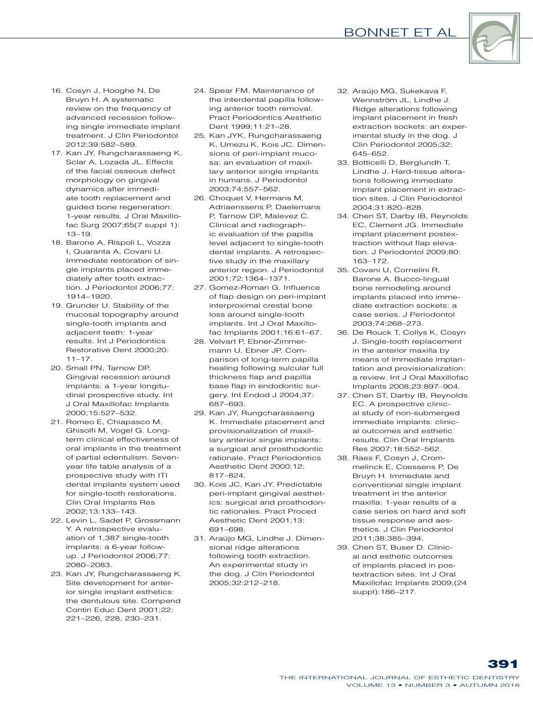### Bonnet et al



- 16. Cosyn J, Hooghe N, De Bruyn H. A systematic review on the frequency of advanced recession following single immediate implant treatment. J Clin Periodontol 2012;39:582–589.
- 17. Kan JY, Rungcharassaeng K, Sclar A, Lozada JL. Effects of the facial osseous defect morphology on gingival dynamics after immediate tooth replacement and guided bone regeneration: 1-year results. J Oral Maxillofac Surg 2007;65(7 suppl 1): 13–19.
- 18. Barone A, Rispoli L, Vozza I, Quaranta A, Covani U. Immediate restoration of single implants placed immediately after tooth extraction. J Periodontol 2006;77: 1914–1920.
- 19. Grunder U. Stability of the mucosal topography around single-tooth implants and adjacent teeth: 1-year results. Int J Periodontics Restorative Dent 2000;20:  $11 - 17$ .
- 20. Small PN, Tarnow DP. Gingival recession around implants: a 1-year longitudinal prospective study. Int J Oral Maxillofac Implants 2000;15:527–532.
- 21. Romeo E, Chiapasco M, Ghisolfi M, Vogel G. Longterm clinical effectiveness of oral implants in the treatment of partial edentulism. Sevenyear life table analysis of a prospective study with ITI dental implants system used for single-tooth restorations. Clin Oral Implants Res 2002;13:133–143.
- 22. Levin L, Sadet P, Grossmann Y. A retrospective evaluation of 1,387 single-tooth implants: a 6-year followup. J Periodontol 2006;77: 2080–2083.
- 23. Kan JY, Rungcharassaeng K. Site development for anterior single implant esthetics: the dentulous site. Compend Contin Educ Dent 2001;22: 221–226, 228, 230–231.
- 24. Spear FM. Maintenance of the interdental papilla following anterior tooth removal. Pract Periodontics Aesthetic Dent 1999;11:21–28.
- 25. Kan JYK, Rungcharassaeng K, Umezu K, Kois JC. Dimensions of peri-implant mucosa: an evaluation of maxillary anterior single implants in humans. J Periodontol 2003;74:557–562.
- 26. Choquet V, Hermans M, Adriaenssens P, Daelemans P, Tarnow DP, Malevez C. Clinical and radiographic evaluation of the papilla level adjacent to single-tooth dental implants. A retrospective study in the maxillary anterior region. J Periodontol 2001;72:1364–1371.
- 27. Gomez-Roman G. Influence of flap design on peri-implant interproximal crestal bone loss around single-tooth implants. Int J Oral Maxillofac Implants 2001;16:61–67.
- 28. Velvart P, Ebner-Zimmermann U, Ebner JP. Comparison of long-term papilla healing following sulcular full thickness flap and papilla base flap in endodontic surgery. Int Endod J 2004;37: 687–693.
- 29. Kan JY, Rungcharassaeng K. Immediate placement and provisionalization of maxillary anterior single implants: a surgical and prosthodontic rationale. Pract Periodontics Aesthetic Dent 2000;12: 817–824.
- 30. Kois JC, Kan JY. Predictable peri-implant gingival aesthetics: surgical and prosthodontic rationales. Pract Proced Aesthetic Dent 2001;13: 691–698.
- 31. Araújo MG, Lindhe J. Dimensional ridge alterations following tooth extraction. An experimental study in the dog. J Clin Periodontol 2005;32:212–218.
- 32. Araújo MG, Sukekava F, Wennström JL, Lindhe J. Ridge alterations following implant placement in fresh extraction sockets: an experimental study in the dog. J Clin Periodontol 2005;32: 645–652.
- 33. Botticelli D, Berglundh T, Lindhe J. Hard-tissue alterations following immediate implant placement in extraction sites. J Clin Periodontol 2004;31:820–828.
- 34. Chen ST, Darby IB, Reynolds EC, Clement JG. Immediate implant placement postextraction without flap elevation. J Periodontol 2009;80: 163–172.
- 35. Covani U, Cornelini R, Barone A. Bucco-lingual bone remodeling around implants placed into immediate extraction sockets: a case series. J Periodontol 2003;74:268–273.
- 36. De Rouck T, Collys K, Cosyn J. Single-tooth replacement in the anterior maxilla by means of immediate implantation and provisionalization: a review. Int J Oral Maxillofac Implants 2008;23:897–904.
- 37. Chen ST, Darby IB, Reynolds EC. A prospective clinical study of non-submerged immediate implants: clinical outcomes and esthetic results. Clin Oral Implants Res 2007;18:552–562.
- 38. Raes F, Cosyn J, Crommelinck E, Coessens P, De Bruyn H. Immediate and conventional single implant treatment in the anterior maxilla: 1-year results of a case series on hard and soft tissue response and aesthetics. J Clin Periodontol 2011;38:385–394.
- 39. Chen ST, Buser D. Clinical and esthetic outcomes of implants placed in postextraction sites. Int J Oral Maxillofac Implants 2009;(24 suppl):186–217.